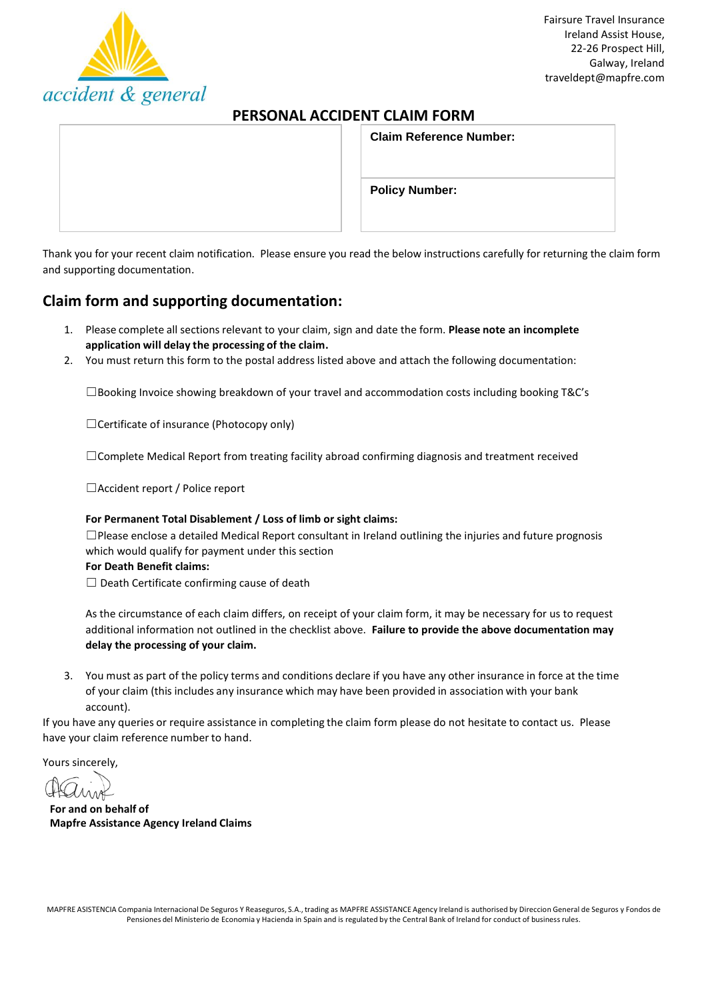

# **PERSONAL ACCIDENT CLAIM FORM**

|  | <b>Claim Reference Number:</b> |
|--|--------------------------------|
|  | <b>Policy Number:</b>          |

Thank you for your recent claim notification. Please ensure you read the below instructions carefully for returning the claim form and supporting documentation.

# **Claim form and supporting documentation:**

- 1. Please complete all sections relevant to your claim, sign and date the form. Please note an incomplete **application will delay the processing of the claim.**
- 2. You must return this form to the postal address listed above and attach the following documentation:

 $\square$ Booking Invoice showing breakdown of your travel and accommodation costs including booking T&C's

☐Certificate of insurance (Photocopy only)

☐Complete Medical Report from treating facility abroad confirming diagnosis and treatment received

☐Accident report / Police report

#### **For Permanent Total Disablement / Loss of limb or sight claims:**

☐Please enclose a detailed Medical Report consultant in Ireland outlining the injuries and future prognosis which would qualify for payment under this section

#### **For Death Benefit claims:**

 $\Box$  Death Certificate confirming cause of death

As the circumstance of each claim differs, on receipt of your claim form, it may be necessary for us to request additional information not outlined in the checklist above. **Failure to provide the above documentation may delay the processing of your claim.**

3. You must as part of the policy terms and conditions declare if you have any other insurance in force at the time of your claim (this includes any insurance which may have been provided in association with your bank account).

If you have any queries or require assistance in completing the claim form please do not hesitate to contact us. Please have your claim reference number to hand.

Yours sincerely,

**For and on behalf of Mapfre Assistance Agency Ireland Claims**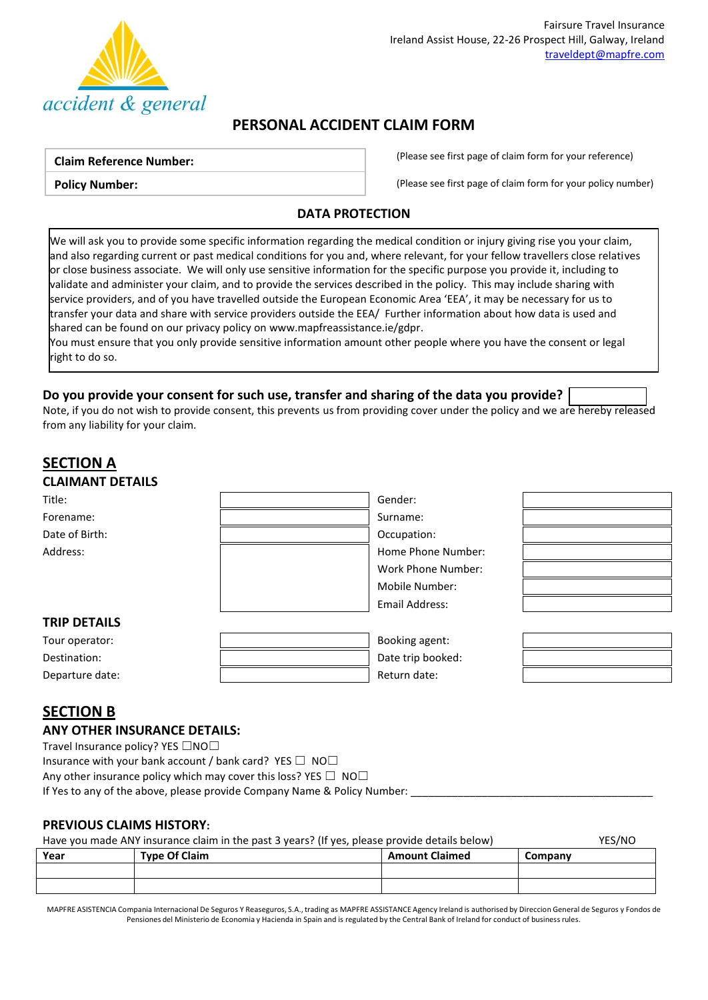

# **PERSONAL ACCIDENT CLAIM FORM**

#### **Claim Reference Number:**

**Policy Number:**

(Please see first page of claim form for your reference)

(Please see first page of claim form for your policy number)

## **DATA PROTECTION**

We will ask you to provide some specific information regarding the medical condition or injury giving rise you your claim, and also regarding current or past medical conditions for you and, where relevant, for your fellow travellers close relatives or close business associate. We will only use sensitive information for the specific purpose you provide it, including to validate and administer your claim, and to provide the services described in the policy. This may include sharing with service providers, and of you have travelled outside the European Economic Area 'EEA', it may be necessary for us to transfer your data and share with service providers outside the EEA/ Further information about how data is used and shared can be found on our privacy policy o[n www.mapfreassistance.ie/gdpr.](http://www.mapfreassistance.ie/gdpr)

You must ensure that you only provide sensitive information amount other people where you have the consent or legal right to do so.

## **Do you provide your consent for such use, transfer and sharing of the data you provide?**

Note, if you do not wish to provide consent, this prevents us from providing cover under the policy and we are hereby released from any liability for your claim.

# **SECTION A CLAIMANT DETAILS**

| Title:              | Gender:            |  |
|---------------------|--------------------|--|
| Forename:           | Surname:           |  |
| Date of Birth:      | Occupation:        |  |
| Address:            | Home Phone Number: |  |
|                     | Work Phone Number: |  |
|                     | Mobile Number:     |  |
|                     | Email Address:     |  |
| <b>TRIP DETAILS</b> |                    |  |
| Tour operator:      | Booking agent:     |  |
| Destination:        | Date trip booked:  |  |
| Departure date:     | Return date:       |  |

# **SECTION B**

 $\mathbf{r}$ 

### **ANY OTHER INSURANCE DETAILS:**

Travel Insurance policy? YES □NO□

Insurance with your bank account / bank card? YES  $\Box$  NO $\Box$ 

Any other insurance policy which may cover this loss? YES  $\Box$  NO $\Box$ 

If Yes to any of the above, please provide Company Name & Policy Number:

## **PREVIOUS CLAIMS HISTORY:**

| Have you made ANY insurance claim in the past 3 years? (If yes, please provide details below) |                      |                       | YES/NO  |
|-----------------------------------------------------------------------------------------------|----------------------|-----------------------|---------|
| Year                                                                                          | <b>Type Of Claim</b> | <b>Amount Claimed</b> | Company |

| Year | <b>Type Of Claim</b> | <b>Amount Claimed</b> | Company |
|------|----------------------|-----------------------|---------|
|      |                      |                       |         |
|      |                      |                       |         |
|      |                      |                       |         |

MAPFRE ASISTENCIA Compania Internacional De Seguros Y Reaseguros, S.A., trading as MAPFRE ASSISTANCE Agency Ireland is authorised by Direccion General de Seguros y Fondos de Pensiones del Ministerio de Economia y Hacienda in Spain and is regulated by the Central Bank of Ireland for conduct of business rules.